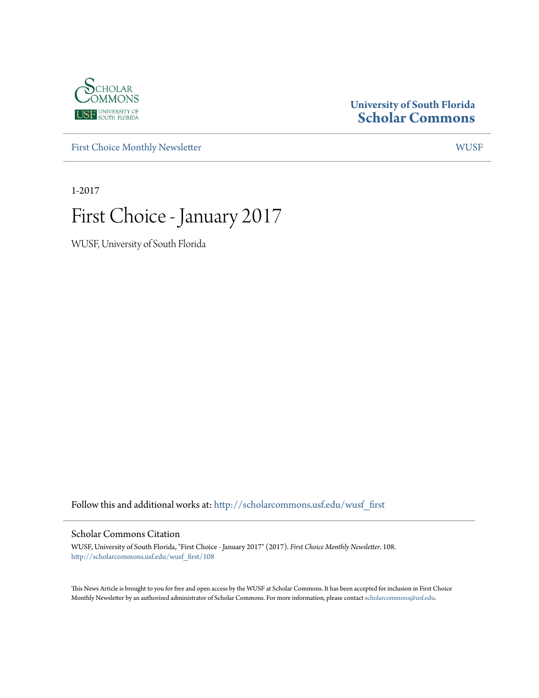

### **University of South Florida [Scholar Commons](http://scholarcommons.usf.edu?utm_source=scholarcommons.usf.edu%2Fwusf_first%2F108&utm_medium=PDF&utm_campaign=PDFCoverPages)**

[First Choice Monthly Newsletter](http://scholarcommons.usf.edu/wusf_first?utm_source=scholarcommons.usf.edu%2Fwusf_first%2F108&utm_medium=PDF&utm_campaign=PDFCoverPages) [WUSF](http://scholarcommons.usf.edu/wusf?utm_source=scholarcommons.usf.edu%2Fwusf_first%2F108&utm_medium=PDF&utm_campaign=PDFCoverPages)

1-2017

# First Choice - January 2017

WUSF, University of South Florida

Follow this and additional works at: [http://scholarcommons.usf.edu/wusf\\_first](http://scholarcommons.usf.edu/wusf_first?utm_source=scholarcommons.usf.edu%2Fwusf_first%2F108&utm_medium=PDF&utm_campaign=PDFCoverPages)

#### Scholar Commons Citation

WUSF, University of South Florida, "First Choice - January 2017" (2017). *First Choice Monthly Newsletter*. 108. [http://scholarcommons.usf.edu/wusf\\_first/108](http://scholarcommons.usf.edu/wusf_first/108?utm_source=scholarcommons.usf.edu%2Fwusf_first%2F108&utm_medium=PDF&utm_campaign=PDFCoverPages)

This News Article is brought to you for free and open access by the WUSF at Scholar Commons. It has been accepted for inclusion in First Choice Monthly Newsletter by an authorized administrator of Scholar Commons. For more information, please contact [scholarcommons@usf.edu.](mailto:scholarcommons@usf.edu)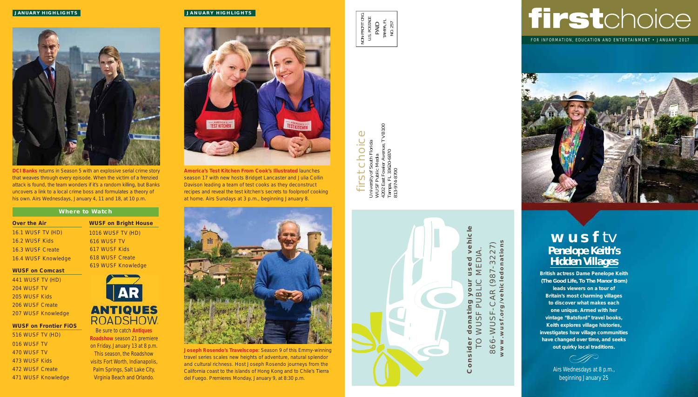# firstchoice

FOR INFORMATION, EDUCATION AND ENTERTAINMENT • JANUARY 2017



## **wusf** tv **Penelope Keith's Hidden Villages**

**British actress Dame Penelope Keith**  *(The Good Life, To The Manor Born)*  **leads viewers on a tour of Britain's most charming villages to discover what makes each one unique. Armed with her vintage "Batsford" travel books, Keith explores village histories, investigates how village communities have changed over time, and seeks out quirky local traditions.** 

 $\overline{\bigcirc}$  and  $\overline{\bigcirc}$ 

Airs Wednesdays at 8 p.m., beginning January 25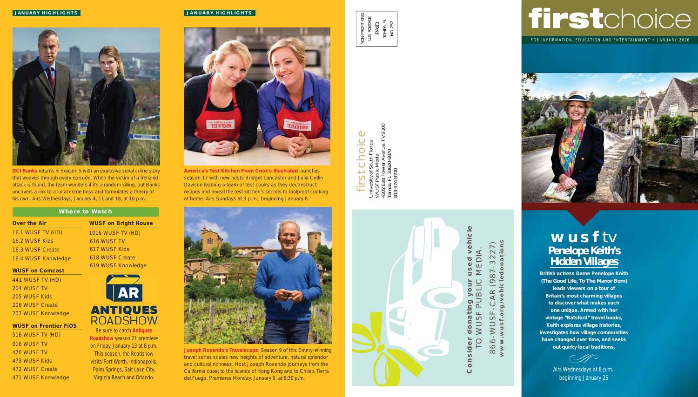#### **JANUARY HIGHLIGHTS**



**DCI Banks** returns in Season 5 with an explosive serial crime story that weaves through every episode. When the victim of a frenzied attack is found, the team wonders if it's a random killing, but Banks uncovers a link to a local crime boss and formulates a theory of his own. Airs Wednesdays, January 4, 11 and 18, at 10 p.m.

#### **Where to Watch**

#### **Over the Air**

16.1 WUSF TV (HD) 16.2 WUSF Kids 16.3 WUSF Create 16.4 WUSF Knowledge

#### **WUSF on Comcast**

441 WUSF TV (HD) 204 WUSF TV 205 WUSF Kids 206 WUSF Create 207 WUSF Knowledge

#### **WUSF on Frontier FiOS**

516 WUSF TV (HD) 016 WUSF TV 470 WUSF TV 473 WUSF Kids 472 WUSF Create 471 WUSF Knowledge **WUSF on Bright House**  1016 WUSF TV (HD)

 616 WUSF TV 617 WUSF Kids 618 WUSF Create 619 WUSF Knowledge



Be sure to catch **Antiques Roadshow** season 21 premiere on Friday, January 13 at 8 p.m. This season, the Roadshow visits Fort Worth, Indianapolis, Palm Springs, Salt Lake City, Virginia Beach and Orlando.

#### **JANUARY HIGHLIGHTS**



**America's Test Kitchen From Cook's Illustrated** launches season 17 with new hosts Bridget Lancaster and Julia Collin Davison leading a team of test cooks as they deconstruct recipes and reveal the test kitchen's secrets to foolproof cooking at home. Airs Sundays at 3 p.m., beginning January 8.



**Joseph Rosendo's Travelscope**: Season 9 of this Emmy-winning travel series scales new heights of adventure, natural splendor and cultural richness. Host Joseph Rosendo journeys from the California coast to the islands of Hong Kong and to Chile's Tierra del Fuego. Premieres Monday, January 9, at 8:30 p.m.